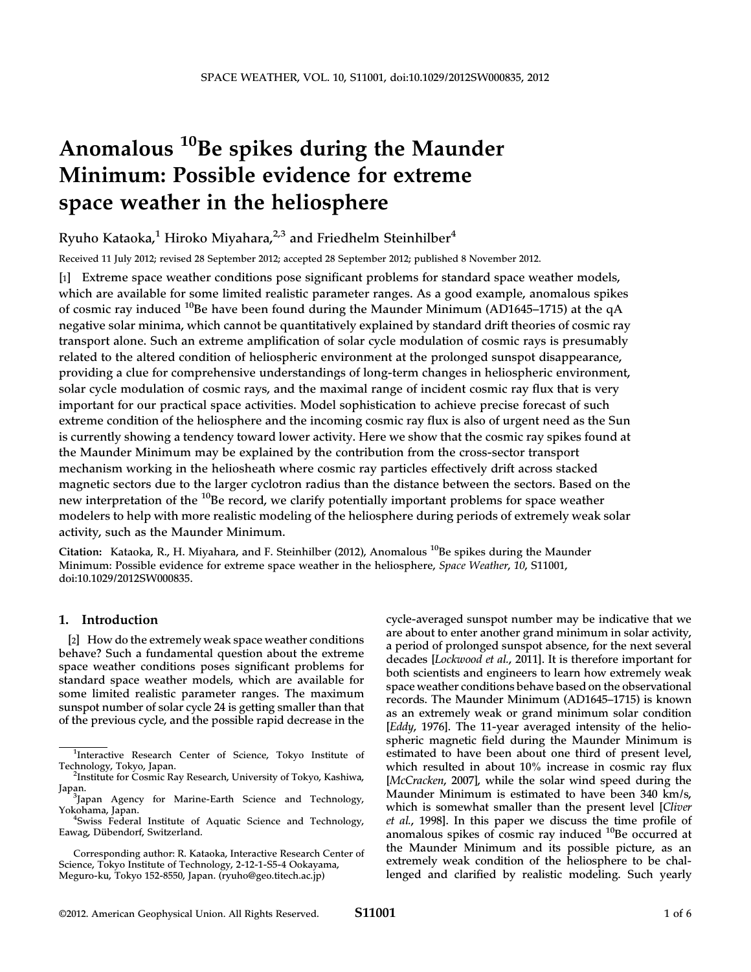# Anomalous <sup>10</sup>Be spikes during the Maunder Minimum: Possible evidence for extreme space weather in the heliosphere

Ryuho Kataoka,<sup>1</sup> Hiroko Miyahara,<sup>2,3</sup> and Friedhelm Steinhilber<sup>4</sup>

Received 11 July 2012; revised 28 September 2012; accepted 28 September 2012; published 8 November 2012.

[1] Extreme space weather conditions pose significant problems for standard space weather models, which are available for some limited realistic parameter ranges. As a good example, anomalous spikes of cosmic ray induced <sup>10</sup>Be have been found during the Maunder Minimum (AD1645–1715) at the qA negative solar minima, which cannot be quantitatively explained by standard drift theories of cosmic ray transport alone. Such an extreme amplification of solar cycle modulation of cosmic rays is presumably related to the altered condition of heliospheric environment at the prolonged sunspot disappearance, providing a clue for comprehensive understandings of long-term changes in heliospheric environment, solar cycle modulation of cosmic rays, and the maximal range of incident cosmic ray flux that is very important for our practical space activities. Model sophistication to achieve precise forecast of such extreme condition of the heliosphere and the incoming cosmic ray flux is also of urgent need as the Sun is currently showing a tendency toward lower activity. Here we show that the cosmic ray spikes found at the Maunder Minimum may be explained by the contribution from the cross-sector transport mechanism working in the heliosheath where cosmic ray particles effectively drift across stacked magnetic sectors due to the larger cyclotron radius than the distance between the sectors. Based on the new interpretation of the <sup>10</sup>Be record, we clarify potentially important problems for space weather modelers to help with more realistic modeling of the heliosphere during periods of extremely weak solar activity, such as the Maunder Minimum.

Citation: Kataoka, R., H. Miyahara, and F. Steinhilber (2012), Anomalous  $^{10}$ Be spikes during the Maunder Minimum: Possible evidence for extreme space weather in the heliosphere, Space Weather, 10, S11001, doi:10.1029/2012SW000835.

## 1. Introduction

[2] How do the extremely weak space weather conditions behave? Such a fundamental question about the extreme space weather conditions poses significant problems for standard space weather models, which are available for some limited realistic parameter ranges. The maximum sunspot number of solar cycle 24 is getting smaller than that of the previous cycle, and the possible rapid decrease in the

cycle-averaged sunspot number may be indicative that we are about to enter another grand minimum in solar activity, a period of prolonged sunspot absence, for the next several decades [Lockwood et al., 2011]. It is therefore important for both scientists and engineers to learn how extremely weak space weather conditions behave based on the observational records. The Maunder Minimum (AD1645–1715) is known as an extremely weak or grand minimum solar condition [Eddy, 1976]. The 11-year averaged intensity of the heliospheric magnetic field during the Maunder Minimum is estimated to have been about one third of present level, which resulted in about 10% increase in cosmic ray flux [McCracken, 2007], while the solar wind speed during the Maunder Minimum is estimated to have been 340 km/s, which is somewhat smaller than the present level [Cliver et al., 1998]. In this paper we discuss the time profile of anomalous spikes of cosmic ray induced <sup>10</sup>Be occurred at the Maunder Minimum and its possible picture, as an extremely weak condition of the heliosphere to be challenged and clarified by realistic modeling. Such yearly

<sup>&</sup>lt;sup>1</sup>Interactive Research Center of Science, Tokyo Institute of Technology, Tokyo, Japan. <sup>2</sup>

<sup>&</sup>lt;sup>2</sup>Institute for Cosmic Ray Research, University of Tokyo, Kashiwa, Japan.

Japan Agency for Marine-Earth Science and Technology, Yokohama, Japan. <sup>4</sup>

Swiss Federal Institute of Aquatic Science and Technology, Eawag, Dübendorf, Switzerland.

Corresponding author: R. Kataoka, Interactive Research Center of Science, Tokyo Institute of Technology, 2-12-1-S5-4 Ookayama, Meguro-ku, Tokyo 152-8550, Japan. (ryuho@geo.titech.ac.jp)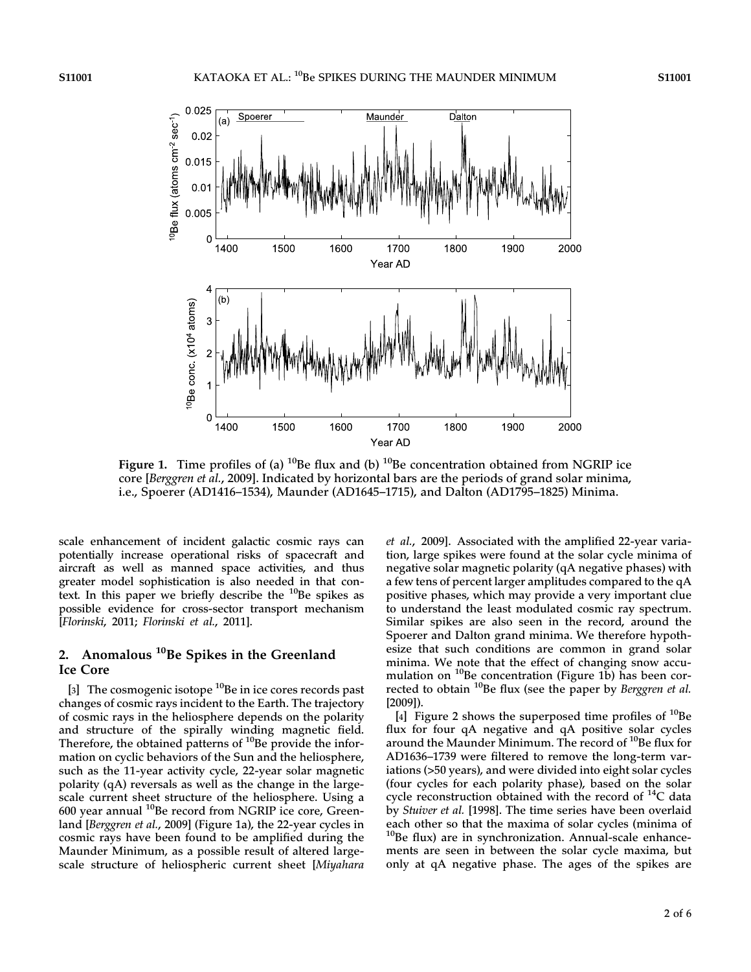

Figure 1. Time profiles of (a) <sup>10</sup>Be flux and (b) <sup>10</sup>Be concentration obtained from NGRIP ice core [Berggren et al., 2009]. Indicated by horizontal bars are the periods of grand solar minima, i.e., Spoerer (AD1416–1534), Maunder (AD1645–1715), and Dalton (AD1795–1825) Minima.

scale enhancement of incident galactic cosmic rays can potentially increase operational risks of spacecraft and aircraft as well as manned space activities, and thus greater model sophistication is also needed in that context. In this paper we briefly describe the  $^{10}$ Be spikes as possible evidence for cross-sector transport mechanism [Florinski, 2011; Florinski et al., 2011].

## 2. Anomalous  $10$ Be Spikes in the Greenland Ice Core

[3] The cosmogenic isotope  $^{10}$ Be in ice cores records past changes of cosmic rays incident to the Earth. The trajectory of cosmic rays in the heliosphere depends on the polarity and structure of the spirally winding magnetic field. Therefore, the obtained patterns of  $10Be$  provide the information on cyclic behaviors of the Sun and the heliosphere, such as the 11-year activity cycle, 22-year solar magnetic polarity (qA) reversals as well as the change in the largescale current sheet structure of the heliosphere. Using a 600 year annual <sup>10</sup>Be record from NGRIP ice core, Greenland [Berggren et al., 2009] (Figure 1a), the 22-year cycles in cosmic rays have been found to be amplified during the Maunder Minimum, as a possible result of altered largescale structure of heliospheric current sheet [Miyahara et al., 2009]. Associated with the amplified 22-year variation, large spikes were found at the solar cycle minima of negative solar magnetic polarity (qA negative phases) with a few tens of percent larger amplitudes compared to the qA positive phases, which may provide a very important clue to understand the least modulated cosmic ray spectrum. Similar spikes are also seen in the record, around the Spoerer and Dalton grand minima. We therefore hypothesize that such conditions are common in grand solar minima. We note that the effect of changing snow accumulation on  $^{10}$ Be concentration (Figure 1b) has been corrected to obtain <sup>10</sup>Be flux (see the paper by Berggren et al. [2009]).

[4] Figure 2 shows the superposed time profiles of  $^{10}$ Be flux for four qA negative and qA positive solar cycles around the Maunder Minimum. The record of <sup>10</sup>Be flux for AD1636–1739 were filtered to remove the long-term variations (>50 years), and were divided into eight solar cycles (four cycles for each polarity phase), based on the solar cycle reconstruction obtained with the record of  $^{14}C$  data by Stuiver et al. [1998]. The time series have been overlaid each other so that the maxima of solar cycles (minima of  $10$ Be flux) are in synchronization. Annual-scale enhancements are seen in between the solar cycle maxima, but only at qA negative phase. The ages of the spikes are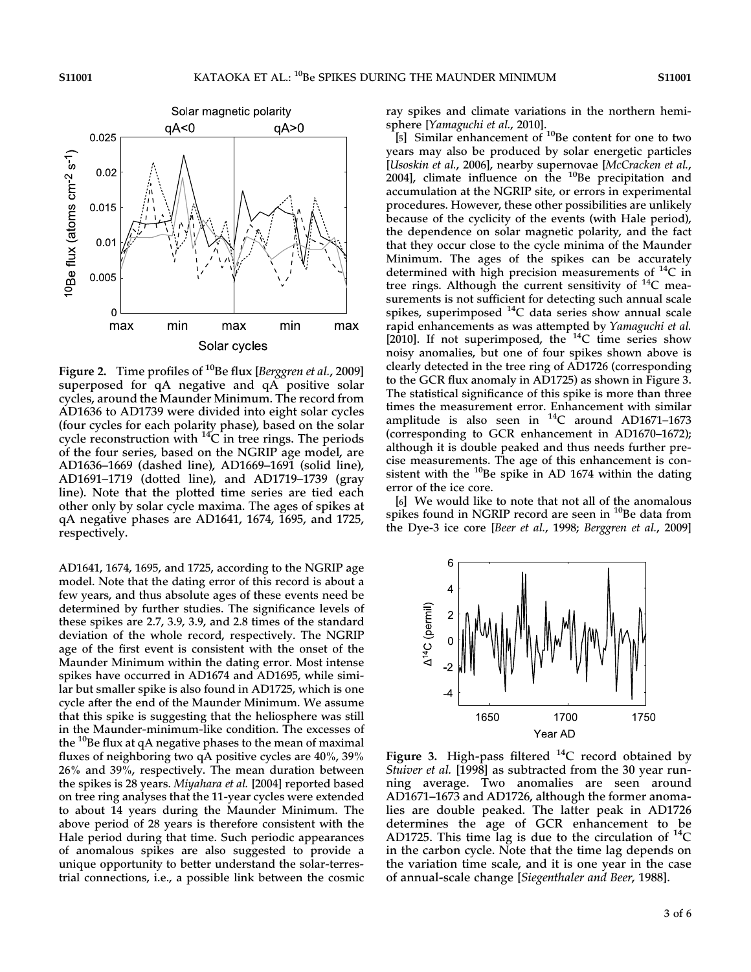

Figure 2. Time profiles of <sup>10</sup>Be flux [*Berggren et al.*, 2009] superposed for qA negative and qA positive solar cycles, around the Maunder Minimum. The record from AD1636 to AD1739 were divided into eight solar cycles (four cycles for each polarity phase), based on the solar cycle reconstruction with  ${}^{14}C$  in tree rings. The periods of the four series, based on the NGRIP age model, are AD1636–1669 (dashed line), AD1669–1691 (solid line), AD1691–1719 (dotted line), and AD1719–1739 (gray line). Note that the plotted time series are tied each other only by solar cycle maxima. The ages of spikes at qA negative phases are AD1641, 1674, 1695, and 1725, respectively.

AD1641, 1674, 1695, and 1725, according to the NGRIP age model. Note that the dating error of this record is about a few years, and thus absolute ages of these events need be determined by further studies. The significance levels of these spikes are 2.7, 3.9, 3.9, and 2.8 times of the standard deviation of the whole record, respectively. The NGRIP age of the first event is consistent with the onset of the Maunder Minimum within the dating error. Most intense spikes have occurred in AD1674 and AD1695, while similar but smaller spike is also found in AD1725, which is one cycle after the end of the Maunder Minimum. We assume that this spike is suggesting that the heliosphere was still in the Maunder-minimum-like condition. The excesses of the  $10B$ e flux at qA negative phases to the mean of maximal fluxes of neighboring two qA positive cycles are 40%, 39% 26% and 39%, respectively. The mean duration between the spikes is 28 years. Miyahara et al. [2004] reported based on tree ring analyses that the 11-year cycles were extended to about 14 years during the Maunder Minimum. The above period of 28 years is therefore consistent with the Hale period during that time. Such periodic appearances of anomalous spikes are also suggested to provide a unique opportunity to better understand the solar-terrestrial connections, i.e., a possible link between the cosmic

ray spikes and climate variations in the northern hemisphere [Yamaguchi et al., 2010].

[5] Similar enhancement of <sup>10</sup>Be content for one to two years may also be produced by solar energetic particles [Usoskin et al., 2006], nearby supernovae [McCracken et al., 2004], climate influence on the  $10B$ <sub>Be</sub> precipitation and accumulation at the NGRIP site, or errors in experimental procedures. However, these other possibilities are unlikely because of the cyclicity of the events (with Hale period), the dependence on solar magnetic polarity, and the fact that they occur close to the cycle minima of the Maunder Minimum. The ages of the spikes can be accurately determined with high precision measurements of  ${}^{14}C$  in tree rings. Although the current sensitivity of  $^{14}C$  measurements is not sufficient for detecting such annual scale spikes, superimposed  $^{14}C$  data series show annual scale rapid enhancements as was attempted by Yamaguchi et al. [2010]. If not superimposed, the  $^{14}$ C time series show noisy anomalies, but one of four spikes shown above is clearly detected in the tree ring of AD1726 (corresponding to the GCR flux anomaly in AD1725) as shown in Figure 3. The statistical significance of this spike is more than three times the measurement error. Enhancement with similar amplitude is also seen in  $^{14}$ C around AD1671-1673 (corresponding to GCR enhancement in AD1670–1672); although it is double peaked and thus needs further precise measurements. The age of this enhancement is consistent with the  $^{10}$ Be spike in AD 1674 within the dating error of the ice core.

[6] We would like to note that not all of the anomalous spikes found in NGRIP record are seen in  $^{10}$ Be data from the Dye-3 ice core [Beer et al., 1998; Berggren et al., 2009]



Figure 3. High-pass filtered  $^{14}C$  record obtained by Stuiver et al. [1998] as subtracted from the 30 year running average. Two anomalies are seen around AD1671–1673 and AD1726, although the former anomalies are double peaked. The latter peak in AD1726 determines the age of GCR enhancement to be AD1725. This time lag is due to the circulation of  $^{14}C$ in the carbon cycle. Note that the time lag depends on the variation time scale, and it is one year in the case of annual-scale change [Siegenthaler and Beer, 1988].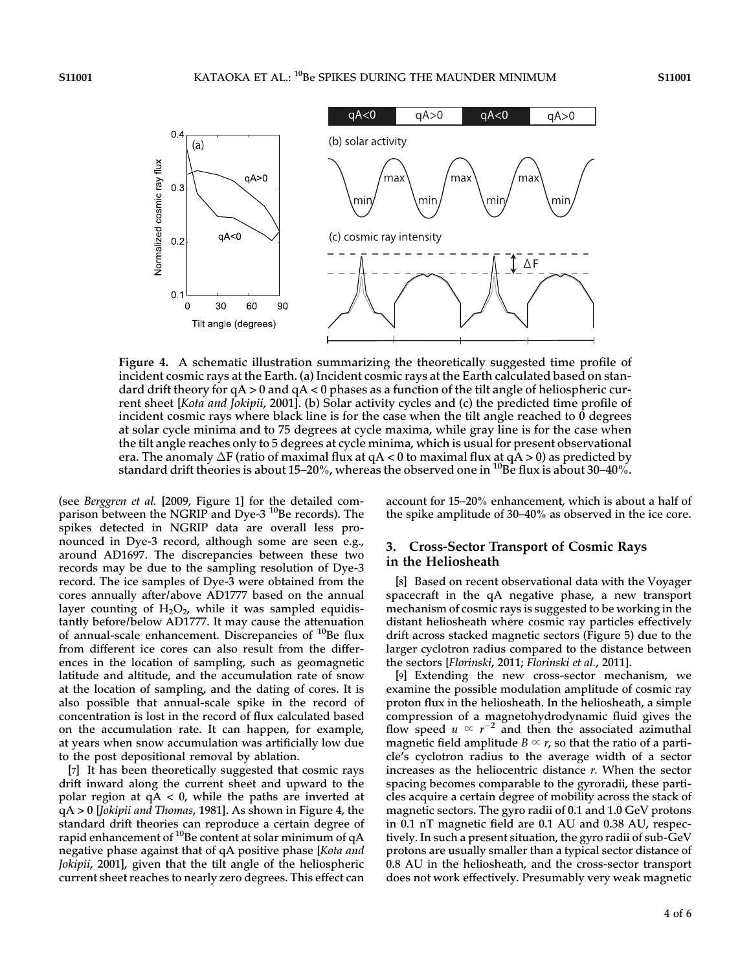

Figure 4. A schematic illustration summarizing the theoretically suggested time profile of incident cosmic rays at the Earth. (a) Incident cosmic rays at the Earth calculated based on standard drift theory for  $qA > 0$  and  $qA < 0$  phases as a function of the tilt angle of heliospheric current sheet [Kota and Jokipii, 2001]. (b) Solar activity cycles and (c) the predicted time profile of incident cosmic rays where black line is for the case when the tilt angle reached to 0 degrees at solar cycle minima and to 75 degrees at cycle maxima, while gray line is for the case when the tilt angle reaches only to 5 degrees at cycle minima, which is usual for present observational era. The anomaly  $\Delta F$  (ratio of maximal flux at qA < 0 to maximal flux at qA > 0) as predicted by standard drift theories is about 15–20%, whereas the observed one in <sup>10</sup>Be flux is about 30–40%.

(see Berggren et al. [2009, Figure 1] for the detailed comparison between the NGRIP and Dye-3<sup>10</sup>Be records). The spikes detected in NGRIP data are overall less pronounced in Dye-3 record, although some are seen e.g., around AD1697. The discrepancies between these two records may be due to the sampling resolution of Dye-3 record. The ice samples of Dye-3 were obtained from the cores annually after/above AD1777 based on the annual layer counting of  $H_2O_2$ , while it was sampled equidistantly before/below AD1777. It may cause the attenuation of annual-scale enhancement. Discrepancies of  $^{10}$ Be flux from different ice cores can also result from the differences in the location of sampling, such as geomagnetic latitude and altitude, and the accumulation rate of snow at the location of sampling, and the dating of cores. It is also possible that annual-scale spike in the record of concentration is lost in the record of flux calculated based on the accumulation rate. It can happen, for example, at years when snow accumulation was artificially low due to the post depositional removal by ablation.

[7] It has been theoretically suggested that cosmic rays drift inward along the current sheet and upward to the polar region at  $qA < 0$ , while the paths are inverted at qA > 0 [Jokipii and Thomas, 1981]. As shown in Figure 4, the standard drift theories can reproduce a certain degree of rapid enhancement of  $^{10}$ Be content at solar minimum of qA negative phase against that of qA positive phase [Kota and Jokipii, 2001], given that the tilt angle of the heliospheric current sheet reaches to nearly zero degrees. This effect can

account for 15–20% enhancement, which is about a half of the spike amplitude of 30–40% as observed in the ice core.

## 3. Cross-Sector Transport of Cosmic Rays in the Heliosheath

[8] Based on recent observational data with the Voyager spacecraft in the qA negative phase, a new transport mechanism of cosmic rays is suggested to be working in the distant heliosheath where cosmic ray particles effectively drift across stacked magnetic sectors (Figure 5) due to the larger cyclotron radius compared to the distance between the sectors [Florinski, 2011; Florinski et al., 2011].

[9] Extending the new cross-sector mechanism, we examine the possible modulation amplitude of cosmic ray proton flux in the heliosheath. In the heliosheath, a simple compression of a magnetohydrodynamic fluid gives the flow speed  $u \propto r^{-2}$  and then the associated azimuthal magnetic field amplitude  $B \propto r$ , so that the ratio of a particle's cyclotron radius to the average width of a sector increases as the heliocentric distance  $r$ . When the sector spacing becomes comparable to the gyroradii, these particles acquire a certain degree of mobility across the stack of magnetic sectors. The gyro radii of 0.1 and 1.0 GeV protons in 0.1 nT magnetic field are 0.1 AU and 0.38 AU, respectively. In such a present situation, the gyro radii of sub-GeV protons are usually smaller than a typical sector distance of 0.8 AU in the heliosheath, and the cross-sector transport does not work effectively. Presumably very weak magnetic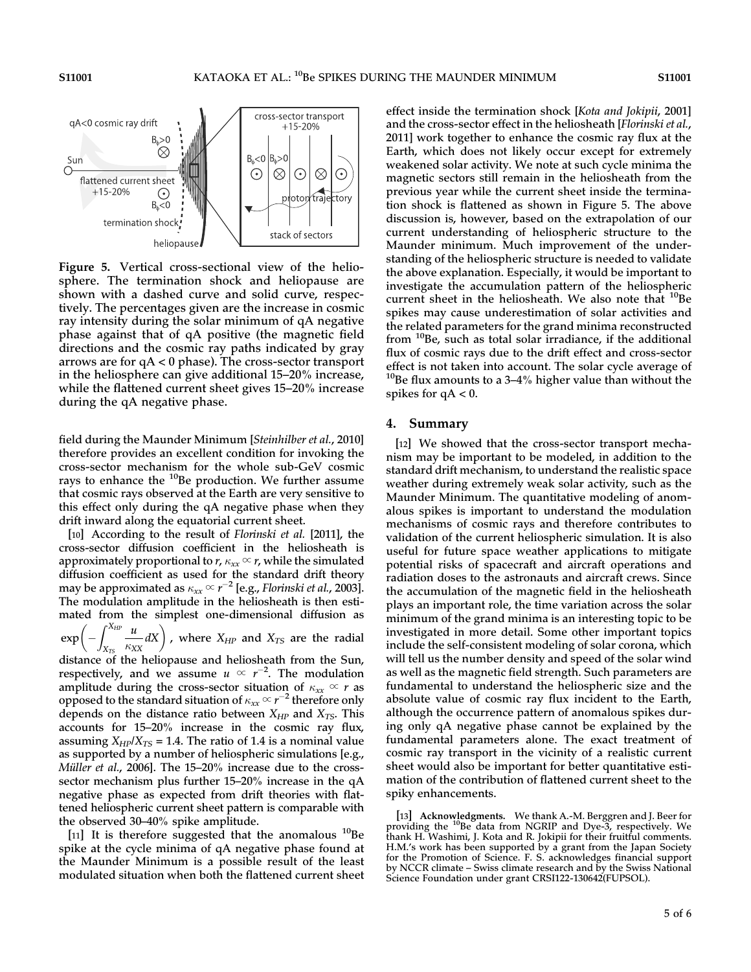

Figure 5. Vertical cross-sectional view of the heliosphere. The termination shock and heliopause are shown with a dashed curve and solid curve, respectively. The percentages given are the increase in cosmic ray intensity during the solar minimum of qA negative phase against that of qA positive (the magnetic field directions and the cosmic ray paths indicated by gray arrows are for qA < 0 phase). The cross-sector transport in the heliosphere can give additional 15–20% increase, while the flattened current sheet gives 15–20% increase during the qA negative phase.

field during the Maunder Minimum [Steinhilber et al., 2010] therefore provides an excellent condition for invoking the cross-sector mechanism for the whole sub-GeV cosmic rays to enhance the  $10B$ e production. We further assume that cosmic rays observed at the Earth are very sensitive to this effect only during the qA negative phase when they drift inward along the equatorial current sheet.

[10] According to the result of Florinski et al. [2011], the cross-sector diffusion coefficient in the heliosheath is approximately proportional to r,  $\kappa_{xx} \propto r$ , while the simulated diffusion coefficient as used for the standard drift theory may be approximated as  $\kappa_{\mathbf{x}\mathbf{x}}$   $\propto$   $r^{-2}$  [e.g., Florinski et al., 2003]. The modulation amplitude in the heliosheath is then estimated from the simplest one-dimensional diffusion as  $\int^{X_{HP}}$ u

exp  $X_{TS}$  $\left(-\int_{X_{TS}}^{X_{HP}} \frac{u}{\kappa_{XX}} dX\right)$ , where  $X_{HP}$  and  $X_{TS}$  are the radial

distance of the heliopause and heliosheath from the Sun, respectively, and we assume  $u \propto r^{-2}$ . The modulation amplitude during the cross-sector situation of  $\kappa_{xx} \propto r$  as opposed to the standard situation of  $\kappa_{xx}$   $\propto$   $r^{-2}$  therefore only depends on the distance ratio between  $X_{HP}$  and  $X_{TS}$ . This accounts for 15–20% increase in the cosmic ray flux, assuming  $X_{HP}/X_{TS} = 1.4$ . The ratio of 1.4 is a nominal value as supported by a number of heliospheric simulations [e.g., Müller et al., 2006]. The 15–20% increase due to the crosssector mechanism plus further 15–20% increase in the qA negative phase as expected from drift theories with flattened heliospheric current sheet pattern is comparable with the observed 30–40% spike amplitude.

[11] It is therefore suggested that the anomalous  $^{10}$ Be spike at the cycle minima of qA negative phase found at the Maunder Minimum is a possible result of the least modulated situation when both the flattened current sheet

effect inside the termination shock [Kota and Jokipii, 2001] and the cross-sector effect in the heliosheath [Florinski et al., 2011] work together to enhance the cosmic ray flux at the Earth, which does not likely occur except for extremely weakened solar activity. We note at such cycle minima the magnetic sectors still remain in the heliosheath from the previous year while the current sheet inside the termination shock is flattened as shown in Figure 5. The above discussion is, however, based on the extrapolation of our current understanding of heliospheric structure to the Maunder minimum. Much improvement of the understanding of the heliospheric structure is needed to validate the above explanation. Especially, it would be important to investigate the accumulation pattern of the heliospheric current sheet in the heliosheath. We also note that  $^{10}$ Be spikes may cause underestimation of solar activities and the related parameters for the grand minima reconstructed from  $10B$ e, such as total solar irradiance, if the additional flux of cosmic rays due to the drift effect and cross-sector effect is not taken into account. The solar cycle average of  $10B$ Be flux amounts to a 3-4% higher value than without the spikes for  $qA < 0$ .

#### 4. Summary

[12] We showed that the cross-sector transport mechanism may be important to be modeled, in addition to the standard drift mechanism, to understand the realistic space weather during extremely weak solar activity, such as the Maunder Minimum. The quantitative modeling of anomalous spikes is important to understand the modulation mechanisms of cosmic rays and therefore contributes to validation of the current heliospheric simulation. It is also useful for future space weather applications to mitigate potential risks of spacecraft and aircraft operations and radiation doses to the astronauts and aircraft crews. Since the accumulation of the magnetic field in the heliosheath plays an important role, the time variation across the solar minimum of the grand minima is an interesting topic to be investigated in more detail. Some other important topics include the self-consistent modeling of solar corona, which will tell us the number density and speed of the solar wind as well as the magnetic field strength. Such parameters are fundamental to understand the heliospheric size and the absolute value of cosmic ray flux incident to the Earth, although the occurrence pattern of anomalous spikes during only qA negative phase cannot be explained by the fundamental parameters alone. The exact treatment of cosmic ray transport in the vicinity of a realistic current sheet would also be important for better quantitative estimation of the contribution of flattened current sheet to the spiky enhancements.

[13] Acknowledgments. We thank A.-M. Berggren and J. Beer for providing the  $^{10}$ Be data from NGRIP and Dye-3, respectively. We thank H. Washimi, J. Kota and R. Jokipii for their fruitful comments. H.M.'s work has been supported by a grant from the Japan Society for the Promotion of Science. F. S. acknowledges financial support by NCCR climate – Swiss climate research and by the Swiss National Science Foundation under grant CRSI122-130642(FUPSOL).